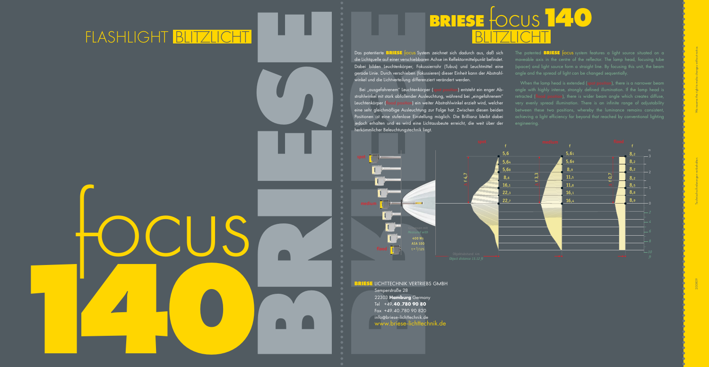2008 **BRIESE** LICHTTECHNIK VERTRIEBS GMBH<br>Semperstraße 28 22303 **Hamburg** Germany

 Tel +49**.40.780 90 80** Fax +49.40.780 90 820 info@briese-lichttechnik.de

Das patentierte **BRIESE** focus System zeichnet sich dadurch aus, daß sich die Lichtquelle auf einer verschiebbaren Achse im Reflektormittelpunkt befindet. Dabei bilden Leuchtenkörper, Fokussierrohr (Tubus) und Leuchtmittel eine gerade Linie. Durch verschieben (fokussieren) dieser Einheit kann der Abstrahlwinkel und die Lichtverteilung differenziert verändert werden.

Bei "ausgefahrenem" Leuchtenkörper (spot position) entsteht ein enger Abstrahlwinkel mit stark abfallender Ausleuchtung, während bei "eingefahrenem" Leuchtenkörper (flood position) ein weiter Abstrahlwinkel erzielt wird, welcher eine sehr gleichmäßige Ausleuchtung zur Folge hat. Zwischen diesen beiden Positionen ist eine stufenlose Einstellung möglich. Die Brillianz bleibt dabei jedoch erhalten und es wird eine Lichtausbeute erreicht, die weit über der

When the lamp head is extended (spot position), there is a narrower beam angle with highly intense, strongly defined illumination. If the lamp head is retracted (flood position), there is wider beam angle which creates diffuse, very evenly spread illumination. There is an infinite range of adjustability achieving a light efficiency far beyond that reached by conventional lighting engineering.

herkömmlicher Beleuchtungstechnik liegt.

The patented **BRIESE** focus system features a light source situated on a moveable axis in the centre of the reflector. The lamp head, focusing tube (spacer) and light source form a straight line. By focusing this unit, the beam angle and the spread of light can be changed sequentially.



## FLASH LIGHT BLITZLICHT BLITZLICHT

**BRIESE BRIDGE DESCRIPTION OF DEALER INCREDIES** pous a tries